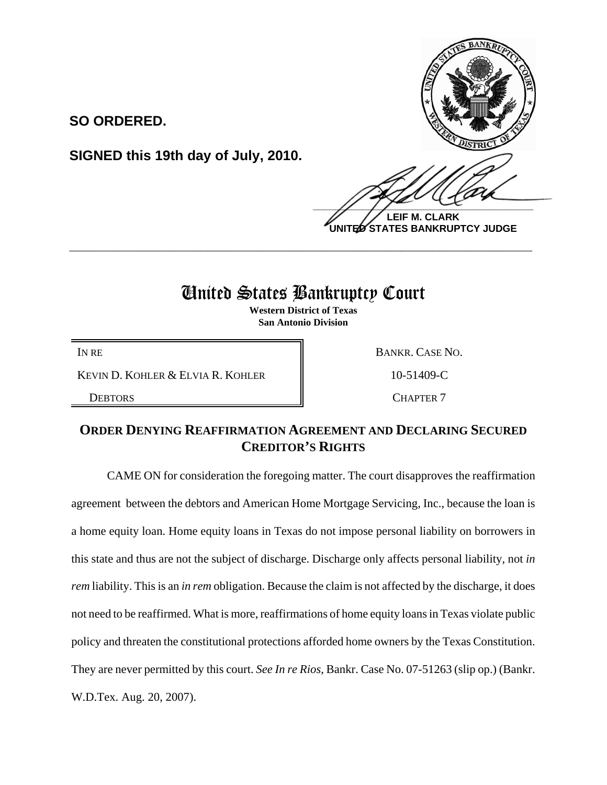

**LEIF M. CLARK UNITED STATES BANKRUPTCY JUDGE**

## United States Bankruptcy Court

**\_\_\_\_\_\_\_\_\_\_\_\_\_\_\_\_\_\_\_\_\_\_\_\_\_\_\_\_\_\_\_\_\_\_\_\_\_\_\_\_\_\_\_\_\_\_\_\_\_\_\_\_\_\_\_\_\_\_\_\_**

**Western District of Texas San Antonio Division**

KEVIN D. KOHLER & ELVIA R. KOHLER 10-51409-C

**SIGNED this 19th day of July, 2010.**

**SO ORDERED.**

IN RE BANKR. CASE NO.

DEBTORS **NATURAL CHAPTER 7** 

## **ORDER DENYING REAFFIRMATION AGREEMENT AND DECLARING SECURED CREDITOR'S RIGHTS**

CAME ON for consideration the foregoing matter. The court disapproves the reaffirmation agreement between the debtors and American Home Mortgage Servicing, Inc., because the loan is a home equity loan. Home equity loans in Texas do not impose personal liability on borrowers in this state and thus are not the subject of discharge. Discharge only affects personal liability, not *in rem* liability. This is an *in rem* obligation. Because the claim is not affected by the discharge, it does not need to be reaffirmed. What is more, reaffirmations of home equity loans in Texas violate public policy and threaten the constitutional protections afforded home owners by the Texas Constitution. They are never permitted by this court. *See In re Rios*, Bankr. Case No. 07-51263 (slip op.) (Bankr. W.D.Tex. Aug. 20, 2007).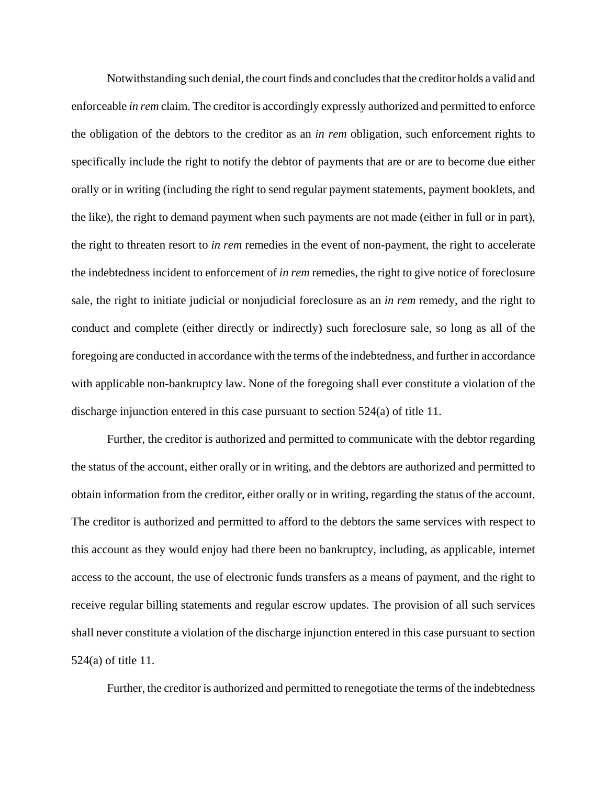Notwithstanding such denial, the court finds and concludes that the creditor holds a valid and enforceable *in rem* claim. The creditor is accordingly expressly authorized and permitted to enforce the obligation of the debtors to the creditor as an *in rem* obligation, such enforcement rights to specifically include the right to notify the debtor of payments that are or are to become due either orally or in writing (including the right to send regular payment statements, payment booklets, and the like), the right to demand payment when such payments are not made (either in full or in part), the right to threaten resort to *in rem* remedies in the event of non-payment, the right to accelerate the indebtedness incident to enforcement of *in rem* remedies, the right to give notice of foreclosure sale, the right to initiate judicial or nonjudicial foreclosure as an *in rem* remedy, and the right to conduct and complete (either directly or indirectly) such foreclosure sale, so long as all of the foregoing are conducted in accordance with the terms of the indebtedness, and further in accordance with applicable non-bankruptcy law. None of the foregoing shall ever constitute a violation of the discharge injunction entered in this case pursuant to section 524(a) of title 11.

Further, the creditor is authorized and permitted to communicate with the debtor regarding the status of the account, either orally or in writing, and the debtors are authorized and permitted to obtain information from the creditor, either orally or in writing, regarding the status of the account. The creditor is authorized and permitted to afford to the debtors the same services with respect to this account as they would enjoy had there been no bankruptcy, including, as applicable, internet access to the account, the use of electronic funds transfers as a means of payment, and the right to receive regular billing statements and regular escrow updates. The provision of all such services shall never constitute a violation of the discharge injunction entered in this case pursuant to section 524(a) of title 11.

Further, the creditor is authorized and permitted to renegotiate the terms of the indebtedness